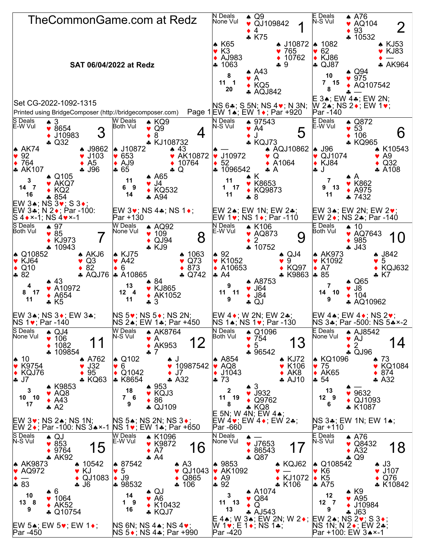